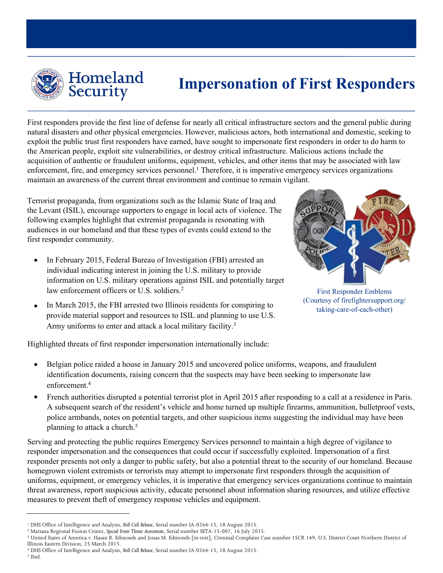

# Homeland<br>Security

## **Impersonation of First Responders**

First responders provide the first line of defense for nearly all critical infrastructure sectors and the general public during natural disasters and other physical emergencies. However, malicious actors, both international and domestic, seeking to exploit the public trust first responders have earned, have sought to impersonate first responders in order to do harm to the American people, exploit site vulnerabilities, or destroy critical infrastructure. Malicious actions include the acquisition of authentic or fraudulent uniforms, equipment, vehicles, and other items that may be associated with law enforcement, fire, and emergency services personnel. <sup>1</sup> Therefore, it is imperative emergency services organizations maintain an awareness of the current t[hr](#page-0-0)eat environment and continue to remain vigilant.

Terrorist propaganda, from organizations such as the Islamic State of Iraq and the Levant (ISIL), encourage supporters to engage in local acts of violence. The following examples highlight that extremist propaganda is resonating with audiences in our homeland and that these types of events could extend to the first responder community.

- In February 2015, Federal Bureau of Investigation (FBI) arrested an individual indicating interest in joining the U.S. military to provide information on U.S. military operations against ISIL and potentially target law enforcement officers or U.S. soldiers.<sup>2</sup>
- In March 2015, the FBI arrested two Illinois residents for conspiring to provide material support and resources to ISIL and planning to use U.S. Army uniforms to ent[er](#page-0-1) and attack a local military facility.<sup>3</sup>



First Responder Emblems (Courtesy of firefightersupport.org/ taking-care-of-each-other)

Highlighted threats of first responder impersonation internationally include:

- Belgian police raided a house in January 2015 and uncovered police uniforms, weapons, and fraudulent identification [do](#page-0-2)cuments, raising concern that the suspects may have been seeking to impersonate law enforcement.<sup>4</sup>
- French authorities disrupted a potential terrorist plot in April 2015 after responding to a call at a residence in Paris. A subsequent search of the resident's vehicle and home turned up multiple firearms, ammunition, bulletproof vests, police armbands, notes on potential targets, and other s[u](#page-0-3)spicious items suggesting the individual may have been planning to attack a church.<sup>5</sup>

Serving and protecting the public requires Emergency Services personnel to maintain a high degree of vigilance to responder impersonation and the consequences that could occur if successfully exploited. Impersonation of a first responder presents not only a danger to public safety, but also a potential threat to the security of our homeland. Because homegrown violent extremists or terrorists may attempt to impersonate first responders through the acquisition of uniforms, equipment, or emergency vehicles, it is imperative that emergency services organizations continue to maintain threat awareness, report suspicious activity, educate personnel about information sharing resources, and utilize effective measures to prevent theft of emergency response vehicles and equipment.

<span id="page-0-3"></span><span id="page-0-2"></span><sup>3</sup> United States of America v. Hasan R. Edmonds and Jonas M. Edmonds [in-text], Criminal Complaint Case number 15CR 149, U.S. District Court Northern District of Illinois Eastern Division, 25 March 2015.

<sup>4</sup> DHS Office of Intelligence and Analysis, *Roll Call Release*, Serial number IA-0264-15, 18 August 2015. <sup>5</sup> Ibid.

<span id="page-0-1"></span><span id="page-0-0"></span><sup>1</sup> DHS Office of Intelligence and Analysis, *Roll Call Release*, Serial number IA-0264-15, 18 August 2015.

<sup>2</sup> Mariana Regional Fusion Center, *Special Event Threat Assessment*, Serial number SETA-15-007, 16 July 2015.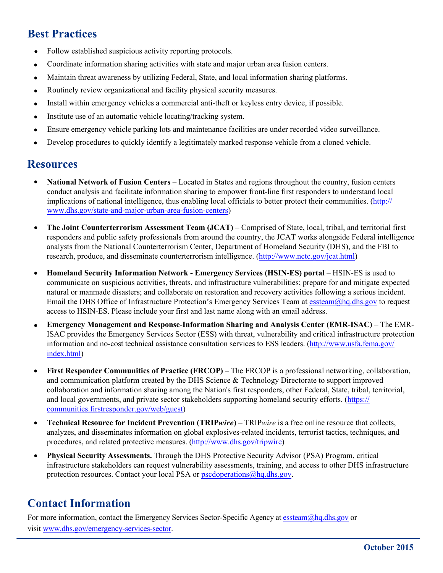#### **Best Practices**

- Follow established suspicious activity reporting protocols.
- Coordinate information sharing activities with state and major urban area fusion centers.
- Maintain threat awareness by utilizing Federal, State, and local information sharing platforms.
- Routinely review organizational and facility physical security measures.
- Install within emergency vehicles a commercial anti-theft or keyless entry device, if possible.
- Institute use of an automatic vehicle locating/tracking system.
- Ensure emergency vehicle parking lots and maintenance facilities are under recorded video surveillance.
- Develop procedures to quickly identify a legitimately marked response vehicle from a cloned vehicle.

#### **Resources**

- **National Network of Fusion Centers** Located in States and regions throughout the country, fusion centers conduct analysis and facilitate information sharing to empower front-line first responders to understand local implications of national intelligence, thus enabling local officials to better protect their communities. ([http://](http://www.dhs.gov/state-and-major-urban-area-fusion-centers) [www.dhs.gov/state-and-major-urban-area-fusion-centers\)](http://www.dhs.gov/state-and-major-urban-area-fusion-centers)
- **The Joint Counterterrorism Assessment Team (JCAT)** Comprised of State, local, tribal, and territorial first responders and public safety professionals from around the country, the JCAT works alongside Federal intelligence analysts from the National Counterterrorism Center, Department of Homeland Security (DHS), and the FBI to research, produce, and disseminate counterterrorism intelligence. ([http://www.nctc.gov/jcat.html\)](http://www.nctc.gov/jcat.html)
- **Homeland Security Information Network Emergency Services (HSIN-ES) portal**  HSIN-ES is used to communicate on suspicious activities, threats, and infrastructure vulnerabilities; prepare for and mitigate expected natural or manmade disasters; and collaborate on restoration and recovery activities following a serious incident. Email the DHS Office of Infrastructure Protection's Emergency Services Team at [essteam@hq.dhs.gov to](mailto:essteam@hq.dhs.gov) request access to HSIN-ES. Please include your first and last name along with an email address.
- **Emergency Management and Response-Information Sharing and Analysis Center (EMR-ISAC)** The EMR-ISAC provides the Emergency Services Sector (ESS) with threat, vulnerability and critical infrastructure protection information and no-cost technical assistance consultation services to ESS leaders. [\(http://www.usfa.fema.gov/](http://www.usfa.fema.gov/index.html) [index.html\)](http://www.usfa.fema.gov/index.html)
- **First Responder Communities of Practice (FRCOP)** The FRCOP is a professional networking, collaboration, and communication platform created by the DHS Science & Technology Directorate to support improved collaboration and information sharing among the Nation's first responders, other Federal, State, tribal, territorial, and local governments, and private sector stakeholders supporting homeland security efforts. [\(https://](https://communities.firstresponder.gov/web/guest) [communities.firstresponder.gov/web/guest\)](https://communities.firstresponder.gov/web/guest)
- **Technical Resource for Incident Prevention (TRIP***wire***)**  TRIP*wire* is a free online resource that collects, analyzes, and disseminates information on global explosives-related incidents, terrorist tactics, techniques, and procedures, and related protective measures. [\(http://www.dhs.gov/tripwire\)](http://www.dhs.gov/tripwire)
- **Physical Security Assessments.** Through the DHS Protective Security Advisor (PSA) Program, critical infrastructure stakeholders can request vulnerability assessments, training, and access to other DHS infrastructure protection resources. Contact your local PSA or [pscdoperations@hq.dhs.gov.](mailto:pscdoperations@hq.dhs.gov)

#### **[Contact](mailto:pscdoperations@hq.dhs.gov.Contact) Information**

For more information, contact the Emergency Services Sector-Specific Agency at [essteam@hq.dhs.gov](mailto:essteam@hq.dhs.gov) or visit [www.dhs.gov/emergency-services-sector.](http://www.dhs.gov/emergency-services-sector)